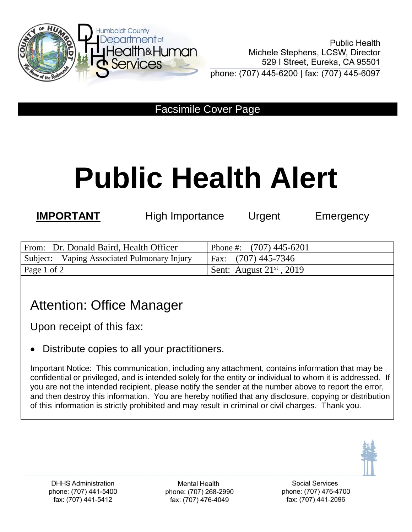

Facsimile Cover Page

# **Public Health Alert**

**IMPORTANT** High Importance Urgent Emergency

| From: Dr. Donald Baird, Health Officer      | Phone #: $(707)$ 445-6201       |
|---------------------------------------------|---------------------------------|
| Subject: Vaping Associated Pulmonary Injury | Fax: (707) 445-7346             |
| Page 1 of 2                                 | Sent: August $21^{st}$ , $2019$ |

## Attention: Office Manager

Upon receipt of this fax:

Distribute copies to all your practitioners.

Important Notice: This communication, including any attachment, contains information that may be confidential or privileged, and is intended solely for the entity or individual to whom it is addressed. If you are not the intended recipient, please notify the sender at the number above to report the error, and then destroy this information. You are hereby notified that any disclosure, copying or distribution of this information is strictly prohibited and may result in criminal or civil charges. Thank you.



**Mental Health** phone: (707) 268-2990 fax: (707) 476-4049

**Social Services** phone: (707) 476-4700 fax: (707) 441-2096